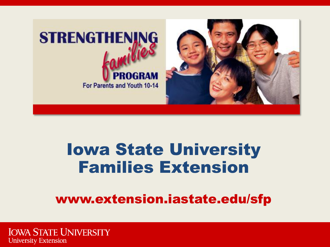

## Iowa State University Families Extension

### www.extension.iastate.edu/sfp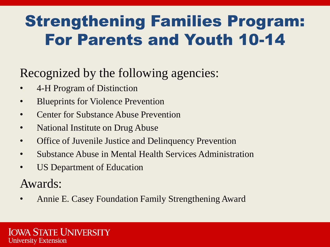## Strengthening Families Program: For Parents and Youth 10-14

### Recognized by the following agencies:

- 4-H Program of Distinction
- Blueprints for Violence Prevention
- Center for Substance Abuse Prevention
- National Institute on Drug Abuse
- Office of Juvenile Justice and Delinquency Prevention
- Substance Abuse in Mental Health Services Administration
- US Department of Education

Awards:

• Annie E. Casey Foundation Family Strengthening Award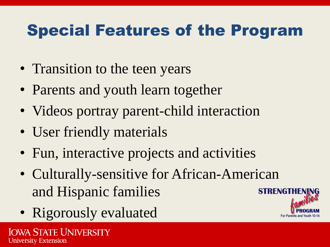## Special Features of the Program

- Transition to the teen years
- Parents and youth learn together
- Videos portray parent-child interaction
- User friendly materials
- Fun, interactive projects and activities
- Culturally-sensitive for African-American and Hispanic families
- Rigorously evaluated

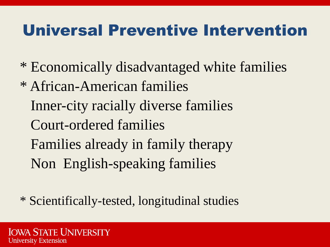### Universal Preventive Intervention

- \* Economically disadvantaged white families
- \* African-American families Inner-city racially diverse families Court-ordered families Families already in family therapy Non English-speaking families

\* Scientifically-tested, longitudinal studies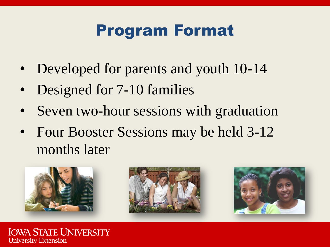### Program Format

- Developed for parents and youth 10-14
- Designed for 7-10 families
- Seven two-hour sessions with graduation
- Four Booster Sessions may be held 3-12 months later

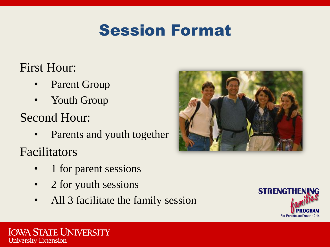### Session Format

### First Hour:

- Parent Group
- Youth Group

### Second Hour:

Parents and youth together

Facilitators

- 1 for parent sessions
- 2 for youth sessions
- All 3 facilitate the family session



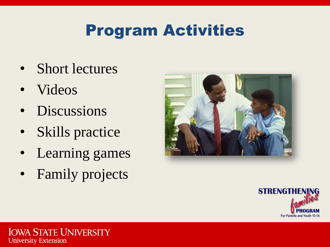## Program Activities

- Short lectures
- Videos
- Discussions
- Skills practice
- Learning games
- Family projects



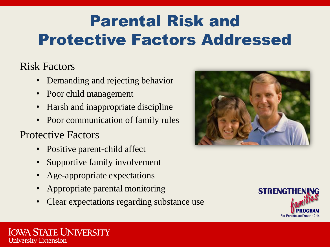## Parental Risk and Protective Factors Addressed

### Risk Factors

- Demanding and rejecting behavior
- Poor child management
- Harsh and inappropriate discipline
- Poor communication of family rules

### Protective Factors

- Positive parent-child affect
- Supportive family involvement
- Age-appropriate expectations
- Appropriate parental monitoring
- Clear expectations regarding substance use



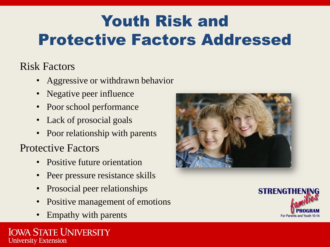## Youth Risk and Protective Factors Addressed

### Risk Factors

- Aggressive or withdrawn behavior
- Negative peer influence
- Poor school performance
- Lack of prosocial goals
- Poor relationship with parents

### Protective Factors

- Positive future orientation
- Peer pressure resistance skills
- Prosocial peer relationships
- Positive management of emotions
- Empathy with parents



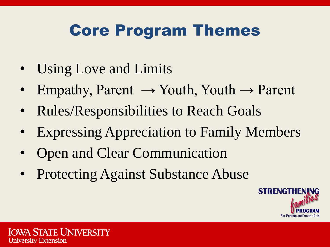### Core Program Themes

- Using Love and Limits
- Empathy, Parent  $\rightarrow$  Youth, Youth  $\rightarrow$  Parent
- Rules/Responsibilities to Reach Goals
- **Expressing Appreciation to Family Members**
- Open and Clear Communication
- Protecting Against Substance Abuse

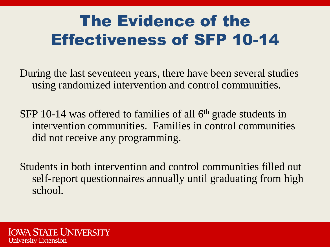## The Evidence of the Effectiveness of SFP 10-14

During the last seventeen years, there have been several studies using randomized intervention and control communities.

SFP 10-14 was offered to families of all  $6<sup>th</sup>$  grade students in intervention communities. Families in control communities did not receive any programming.

Students in both intervention and control communities filled out self-report questionnaires annually until graduating from high school.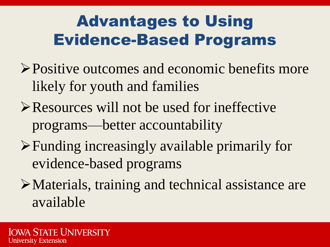## Advantages to Using Evidence-Based Programs

- Positive outcomes and economic benefits more likely for youth and families
- Resources will not be used for ineffective programs—better accountability
- Funding increasingly available primarily for evidence-based programs
- Materials, training and technical assistance are available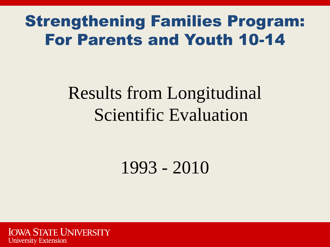### Strengthening Families Program: For Parents and Youth 10-14

# Results from Longitudinal Scientific Evaluation

1993 - 2010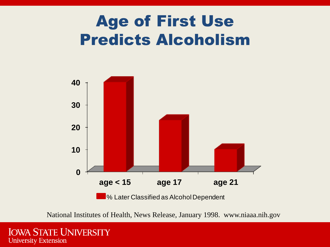### Age of First Use Predicts Alcoholism



National Institutes of Health, News Release, January 1998. www.niaaa.nih.gov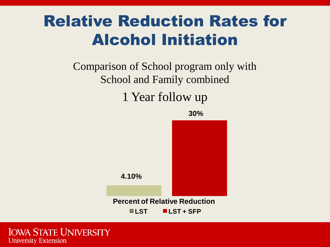### Relative Reduction Rates for Alcohol Initiation

### Comparison of School program only with School and Family combined 1 Year follow up

**30%**

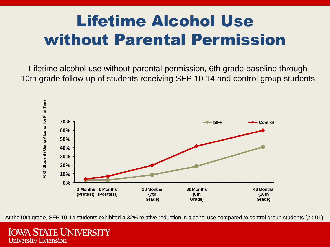## Lifetime Alcohol Use without Parental Permission

Lifetime alcohol use without parental permission, 6th grade baseline through 10th grade follow-up of students receiving SFP 10-14 and control group students



At the10th grade, SFP 10-14 students exhibited a 32% relative reduction in alcohol use compared to control group students (*p*<.01).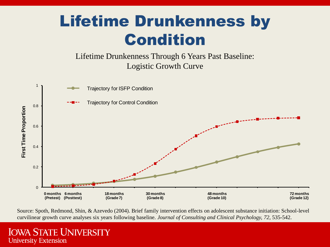## Lifetime Drunkenness by Condition

Lifetime Drunkenness Through 6 Years Past Baseline: Logistic Growth Curve



Source: Spoth, Redmond, Shin, & Azevedo (2004). Brief family intervention effects on adolescent substance initiation: School-level curvilinear growth curve analyses six years following baseline. *Journal of Consulting and Clinical Psychology, 72*, 535-542.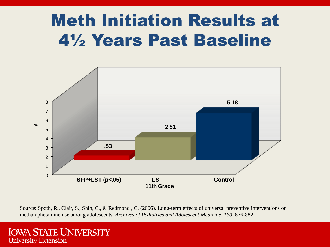## Meth Initiation Results at 4½ Years Past Baseline



Source: Spoth, R., Clair, S., Shin, C., & Redmond , C. (2006). Long-term effects of universal preventive interventions on methamphetamine use among adolescents. *Archives of Pediatrics and Adolescent Medicine, 160,* 876-882.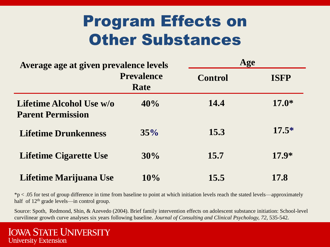### Program Effects on Other Substances

| Average age at given prevalence levels               |                           | Age            |             |
|------------------------------------------------------|---------------------------|----------------|-------------|
|                                                      | <b>Prevalence</b><br>Rate | <b>Control</b> | <b>ISFP</b> |
| Lifetime Alcohol Use w/o<br><b>Parent Permission</b> | 40%                       | 14.4           | $17.0*$     |
| <b>Lifetime Drunkenness</b>                          | 35%                       | 15.3           | $17.5*$     |
| <b>Lifetime Cigarette Use</b>                        | 30%                       | 15.7           | $17.9*$     |
| Lifetime Marijuana Use                               | 10%                       | 15.5           | 17.8        |

 $*p < .05$  for test of group difference in time from baseline to point at which initiation levels reach the stated levels—approximately half of 12<sup>th</sup> grade levels—in control group.

Source: Spoth, Redmond, Shin, & Azevedo (2004). Brief family intervention effects on adolescent substance initiation: School-level curvilinear growth curve analyses six years following baseline. *Journal of Consulting and Clinical Psychology, 72,* 535-542.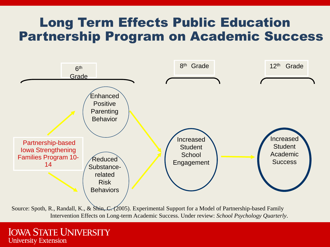### Long Term Effects Public Education Partnership Program on Academic Success



Source: Spoth, R., Randall, K., & Shin, C. (2005). Experimental Support for a Model of Partnership-based Family Intervention Effects on Long-term Academic Success. Under review: *School Psychology Quarterly*.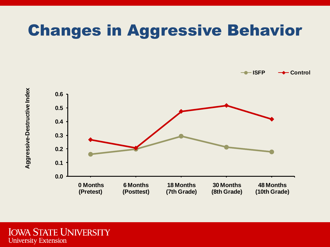### Changes in Aggressive Behavior

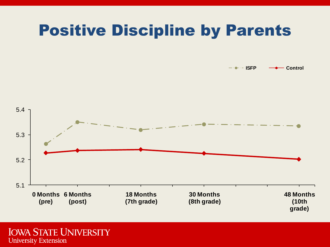### Positive Discipline by Parents

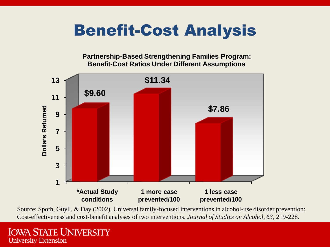### Benefit-Cost Analysis

**Partnership-Based Strengthening Families Program: Benefit-Cost Ratios Under Different Assumptions**



Source: Spoth, Guyll, & Day (2002). Universal family-focused interventions in alcohol-use disorder prevention: Cost-effectiveness and cost-benefit analyses of two interventions. *Journal of Studies on Alcohol, 63*, 219-228.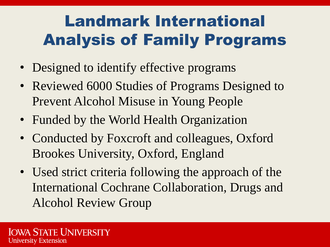## Landmark International Analysis of Family Programs

- Designed to identify effective programs
- Reviewed 6000 Studies of Programs Designed to Prevent Alcohol Misuse in Young People
- Funded by the World Health Organization
- Conducted by Foxcroft and colleagues, Oxford Brookes University, Oxford, England
- Used strict criteria following the approach of the International Cochrane Collaboration, Drugs and Alcohol Review Group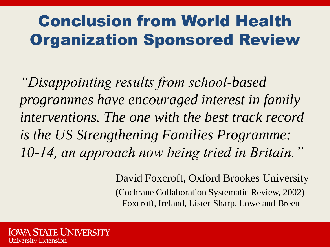## Conclusion from World Health Organization Sponsored Review

*"Disappointing results from school-based programmes have encouraged interest in family interventions. The one with the best track record is the US Strengthening Families Programme: 10-14, an approach now being tried in Britain."*

> David Foxcroft, Oxford Brookes University (Cochrane Collaboration Systematic Review, 2002) Foxcroft, Ireland, Lister-Sharp, Lowe and Breen

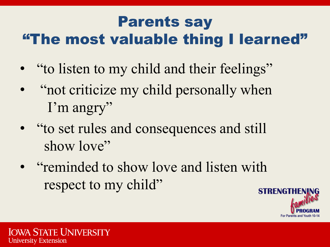### Parents say "The most valuable thing I learned"

- "to listen to my child and their feelings"
- "not criticize my child personally when I'm angry"
- "to set rules and consequences and still show love"
- "reminded to show love and listen with respect to my child"

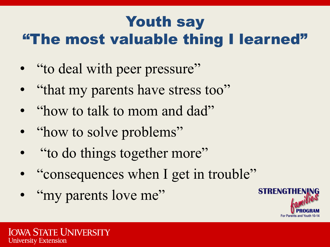### Youth say "The most valuable thing I learned"

- "to deal with peer pressure"
- "that my parents have stress too"
- "how to talk to mom and dad"
- "how to solve problems"
- "to do things together more"
- "consequences when I get in trouble"
- "my parents love me"

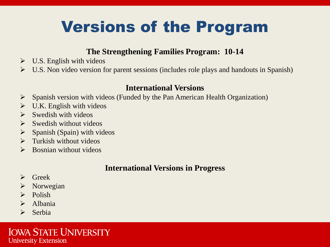## Versions of the Program

#### **The Strengthening Families Program: 10-14**

- $\triangleright$  U.S. English with videos
- $\triangleright$  U.S. Non video version for parent sessions (includes role plays and handouts in Spanish)

#### **International Versions**

- $\triangleright$  Spanish version with videos (Funded by the Pan American Health Organization)
- $\triangleright$  U.K. English with videos
- $\triangleright$  Swedish with videos
- $\triangleright$  Swedish without videos
- $\triangleright$  Spanish (Spain) with videos
- $\triangleright$  Turkish without videos
- $\triangleright$  Bosnian without videos

#### **International Versions in Progress**

- $\triangleright$  Greek
- $\triangleright$  Norwegian
- $\triangleright$  Polish
- $\triangleright$  Albania
- $\triangleright$  Serbia